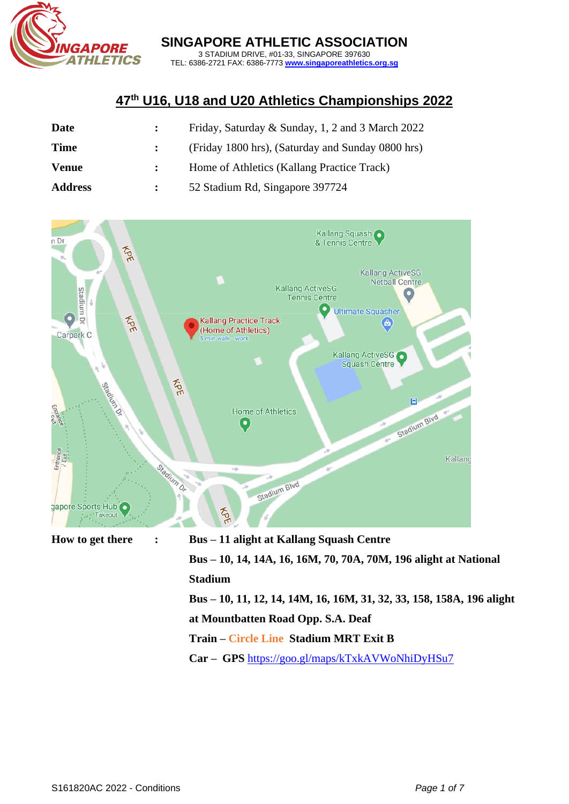

**SINGAPORE ATHLETIC ASSOCIATION**

3 STADIUM DRIVE, #01-33, SINGAPORE 397630 TEL: 6386-2721 FAX: 6386-7773 **[www.singaporeathletics.org.sg](http://www.singaporeathletics.org.sg/)**

## **47th U16, U18 and U20 Athletics Championships 2022**

| <b>Date</b>    | Friday, Saturday & Sunday, 1, 2 and 3 March 2022  |
|----------------|---------------------------------------------------|
| <b>Time</b>    | (Friday 1800 hrs), (Saturday and Sunday 0800 hrs) |
| <b>Venue</b>   | Home of Athletics (Kallang Practice Track)        |
| <b>Address</b> | 52 Stadium Rd, Singapore 397724                   |



**Bus – 10, 11, 12, 14, 14M, 16, 16M, 31, 32, 33, 158, 158A, 196 alight at Mountbatten Road Opp. S.A. Deaf**

**Train – Circle Line Stadium MRT Exit B**

**Car – GPS** <https://goo.gl/maps/kTxkAVWoNhiDyHSu7>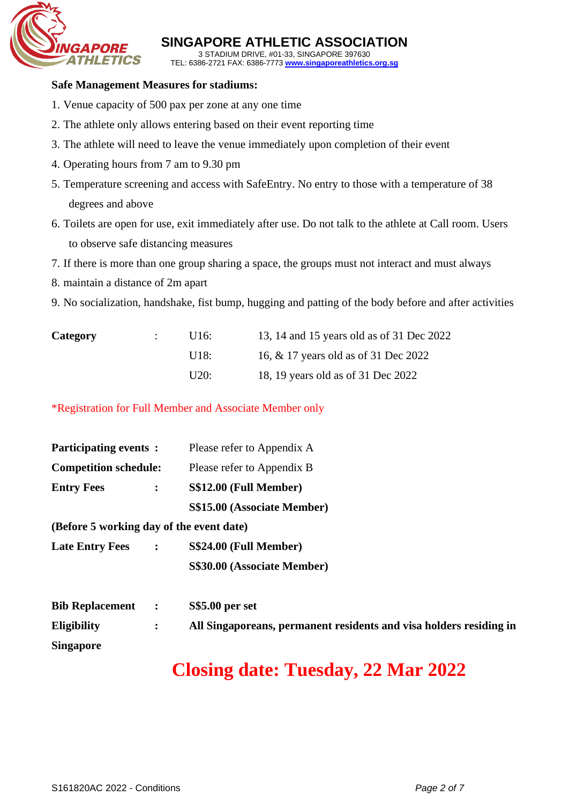

**SINGAPORE ATHLETIC ASSOCIATION** 3 STADIUM DRIVE, #01-33, SINGAPORE 397630

TEL: 6386-2721 FAX: 6386-7773 **[www.singaporeathletics.org.sg](http://www.singaporeathletics.org.sg/)**

#### **Safe Management Measures for stadiums:**

- 1. Venue capacity of 500 pax per zone at any one time
- 2. The athlete only allows entering based on their event reporting time
- 3. The athlete will need to leave the venue immediately upon completion of their event
- 4. Operating hours from 7 am to 9.30 pm
- 5. Temperature screening and access with SafeEntry. No entry to those with a temperature of 38 degrees and above
- 6. Toilets are open for use, exit immediately after use. Do not talk to the athlete at Call room. Users to observe safe distancing measures
- 7. If there is more than one group sharing a space, the groups must not interact and must always
- 8. maintain a distance of 2m apart
- 9. No socialization, handshake, fist bump, hugging and patting of the body before and after activities

| <b>Category</b> | U16:  | 13, 14 and 15 years old as of 31 Dec 2022 |
|-----------------|-------|-------------------------------------------|
|                 | 1118: | 16, & 17 years old as of 31 Dec 2022      |
|                 | U20:  | 18, 19 years old as of 31 Dec 2022        |

\*Registration for Full Member and Associate Member only

| <b>Participating events:</b>             |                | Please refer to Appendix A  |  |  |  |  |
|------------------------------------------|----------------|-----------------------------|--|--|--|--|
| <b>Competition schedule:</b>             |                | Please refer to Appendix B  |  |  |  |  |
| <b>Entry Fees</b>                        | $\ddot{\cdot}$ | S\$12.00 (Full Member)      |  |  |  |  |
|                                          |                | S\$15.00 (Associate Member) |  |  |  |  |
| (Before 5 working day of the event date) |                |                             |  |  |  |  |
| <b>Late Entry Fees</b>                   | $\mathbb{R}^2$ | S\$24.00 (Full Member)      |  |  |  |  |
|                                          |                | S\$30.00 (Associate Member) |  |  |  |  |
| <b>Bib Replacement</b>                   | $\ddot{\cdot}$ | <b>S\$5.00 per set</b>      |  |  |  |  |

| <b>Eligibility</b> | All Singaporeans, permanent residents and visa holders residing in |  |  |
|--------------------|--------------------------------------------------------------------|--|--|
| <b>Singapore</b>   |                                                                    |  |  |

# **Closing date: Tuesday, 22 Mar 2022**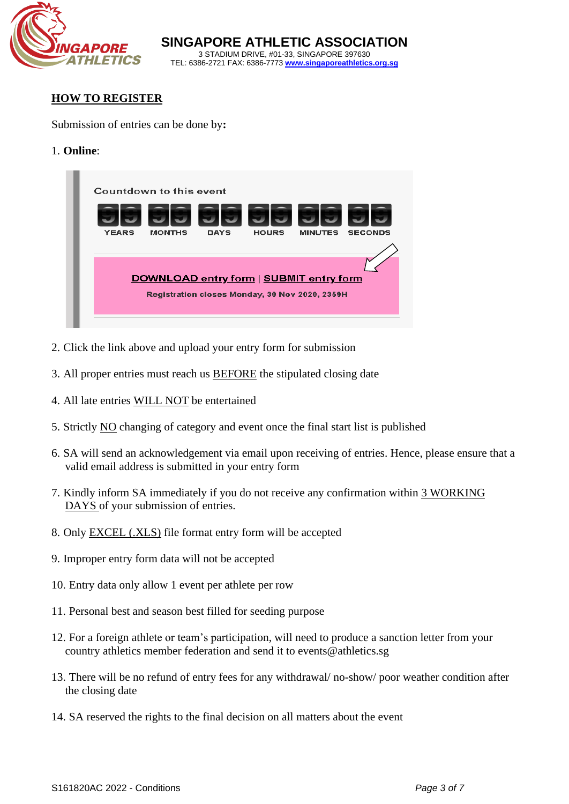

**SINGAPORE ATHLETIC ASSOCIATION** 3 STADIUM DRIVE, #01-33, SINGAPORE 397630 TEL: 6386-2721 FAX: 6386-7773 **[www.singaporeathletics.org.sg](http://www.singaporeathletics.org.sg/)**

#### **HOW TO REGISTER**

Submission of entries can be done by**:** 

1. **Online**:



- 2. Click the link above and upload your entry form for submission
- 3. All proper entries must reach us BEFORE the stipulated closing date
- 4. All late entries WILL NOT be entertained
- 5. Strictly NO changing of category and event once the final start list is published
- 6. SA will send an acknowledgement via email upon receiving of entries. Hence, please ensure that a valid email address is submitted in your entry form
- 7. Kindly inform SA immediately if you do not receive any confirmation within 3 WORKING DAYS of your submission of entries.
- 8. Only EXCEL (.XLS) file format entry form will be accepted
- 9. Improper entry form data will not be accepted
- 10. Entry data only allow 1 event per athlete per row
- 11. Personal best and season best filled for seeding purpose
- 12. For a foreign athlete or team's participation, will need to produce a sanction letter from your country athletics member federation and send it to [events@athletics.sg](mailto:events@athletics.sg)
- 13. There will be no refund of entry fees for any withdrawal/ no-show/ poor weather condition after the closing date
- 14. SA reserved the rights to the final decision on all matters about the event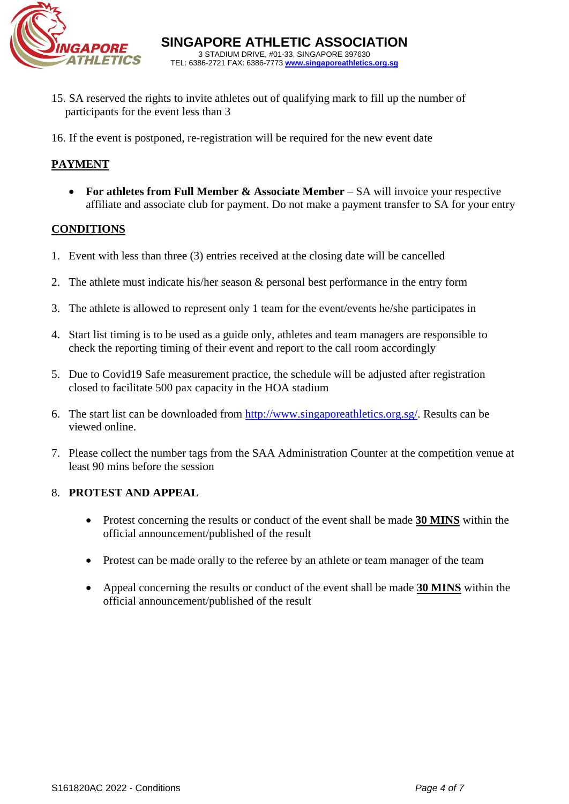

- 15. SA reserved the rights to invite athletes out of qualifying mark to fill up the number of participants for the event less than 3
- 16. If the event is postponed, re-registration will be required for the new event date

### **PAYMENT**

• **For athletes from Full Member & Associate Member** – SA will invoice your respective affiliate and associate club for payment. Do not make a payment transfer to SA for your entry

#### **CONDITIONS**

- 1. Event with less than three (3) entries received at the closing date will be cancelled
- 2. The athlete must indicate his/her season & personal best performance in the entry form
- 3. The athlete is allowed to represent only 1 team for the event/events he/she participates in
- 4. Start list timing is to be used as a guide only, athletes and team managers are responsible to check the reporting timing of their event and report to the call room accordingly
- 5. Due to Covid19 Safe measurement practice, the schedule will be adjusted after registration closed to facilitate 500 pax capacity in the HOA stadium
- 6. The start list can be downloaded from [http://www.singaporeathletics.org.sg/.](http://www.singaporeathletics.org.sg/) Results can be viewed online.
- 7. Please collect the number tags from the SAA Administration Counter at the competition venue at least 90 mins before the session

#### 8. **PROTEST AND APPEAL**

- Protest concerning the results or conduct of the event shall be made **30 MINS** within the official announcement/published of the result
- Protest can be made orally to the referee by an athlete or team manager of the team
- Appeal concerning the results or conduct of the event shall be made **30 MINS** within the official announcement/published of the result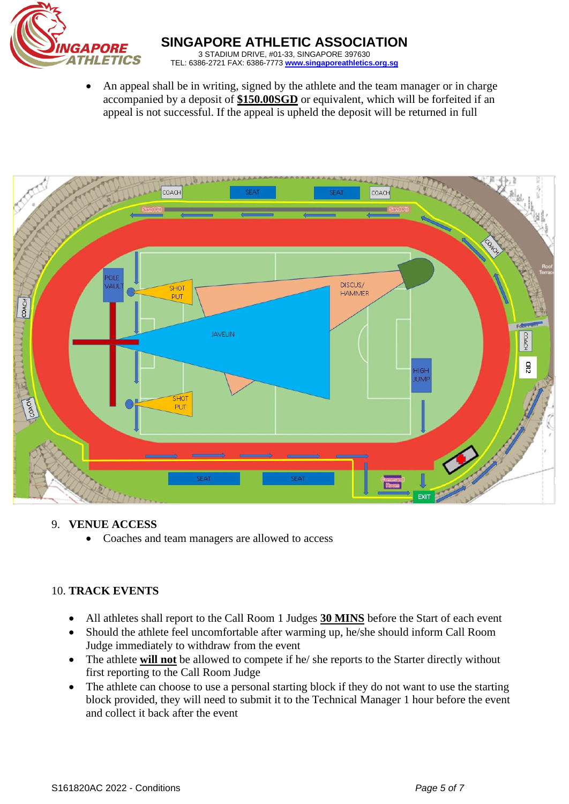

• An appeal shall be in writing, signed by the athlete and the team manager or in charge accompanied by a deposit of **\$150.00SGD** or equivalent, which will be forfeited if an appeal is not successful. If the appeal is upheld the deposit will be returned in full



#### 9. **VENUE ACCESS**

• Coaches and team managers are allowed to access

#### 10. **TRACK EVENTS**

- All athletes shall report to the Call Room 1 Judges **30 MINS** before the Start of each event
- Should the athlete feel uncomfortable after warming up, he/she should inform Call Room Judge immediately to withdraw from the event
- The athlete **will not** be allowed to compete if he/ she reports to the Starter directly without first reporting to the Call Room Judge
- The athlete can choose to use a personal starting block if they do not want to use the starting block provided, they will need to submit it to the Technical Manager 1 hour before the event and collect it back after the event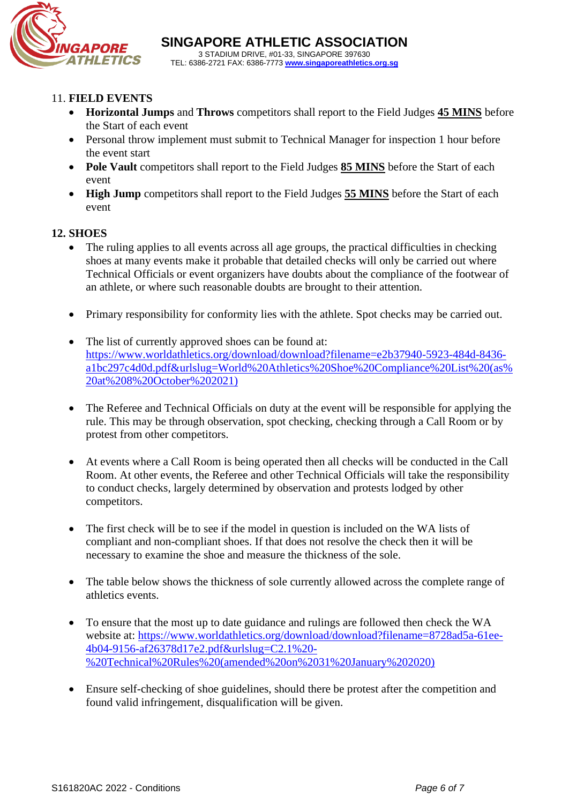

#### 11. **FIELD EVENTS**

- **Horizontal Jumps** and **Throws** competitors shall report to the Field Judges **45 MINS** before the Start of each event
- Personal throw implement must submit to Technical Manager for inspection 1 hour before the event start
- **Pole Vault** competitors shall report to the Field Judges **85 MINS** before the Start of each event
- **High Jump** competitors shall report to the Field Judges **55 MINS** before the Start of each event

#### **12. SHOES**

- The ruling applies to all events across all age groups, the practical difficulties in checking shoes at many events make it probable that detailed checks will only be carried out where Technical Officials or event organizers have doubts about the compliance of the footwear of an athlete, or where such reasonable doubts are brought to their attention.
- Primary responsibility for conformity lies with the athlete. Spot checks may be carried out.
- The list of currently approved shoes can be found at: [https://www.worldathletics.org/download/download?filename=e2b37940-5923-484d-8436](https://www.worldathletics.org/download/download?filename=e2b37940-5923-484d-8436-a1bc297c4d0d.pdf&urlslug=World%20Athletics%20Shoe%20Compliance%20List%20(as%20at%208%20October%202021)) [a1bc297c4d0d.pdf&urlslug=World%20Athletics%20Shoe%20Compliance%20List%20\(as%](https://www.worldathletics.org/download/download?filename=e2b37940-5923-484d-8436-a1bc297c4d0d.pdf&urlslug=World%20Athletics%20Shoe%20Compliance%20List%20(as%20at%208%20October%202021)) [20at%208%20October%202021\)](https://www.worldathletics.org/download/download?filename=e2b37940-5923-484d-8436-a1bc297c4d0d.pdf&urlslug=World%20Athletics%20Shoe%20Compliance%20List%20(as%20at%208%20October%202021))
- The Referee and Technical Officials on duty at the event will be responsible for applying the rule. This may be through observation, spot checking, checking through a Call Room or by protest from other competitors.
- At events where a Call Room is being operated then all checks will be conducted in the Call Room. At other events, the Referee and other Technical Officials will take the responsibility to conduct checks, largely determined by observation and protests lodged by other competitors.
- The first check will be to see if the model in question is included on the WA lists of compliant and non-compliant shoes. If that does not resolve the check then it will be necessary to examine the shoe and measure the thickness of the sole.
- The table below shows the thickness of sole currently allowed across the complete range of athletics events.
- To ensure that the most up to date guidance and rulings are followed then check the WA website at: [https://www.worldathletics.org/download/download?filename=8728ad5a-61ee-](https://www.worldathletics.org/download/download?filename=8728ad5a-61ee-4b04-9156-af26378d17e2.pdf&urlslug=C2.1%20-%20Technical%20Rules%20(amended%20on%2031%20January%202020))[4b04-9156-af26378d17e2.pdf&urlslug=C2.1%20-](https://www.worldathletics.org/download/download?filename=8728ad5a-61ee-4b04-9156-af26378d17e2.pdf&urlslug=C2.1%20-%20Technical%20Rules%20(amended%20on%2031%20January%202020)) [%20Technical%20Rules%20\(amended%20on%2031%20January%202020\)](https://www.worldathletics.org/download/download?filename=8728ad5a-61ee-4b04-9156-af26378d17e2.pdf&urlslug=C2.1%20-%20Technical%20Rules%20(amended%20on%2031%20January%202020))
- Ensure self-checking of shoe guidelines, should there be protest after the competition and found valid infringement, disqualification will be given.